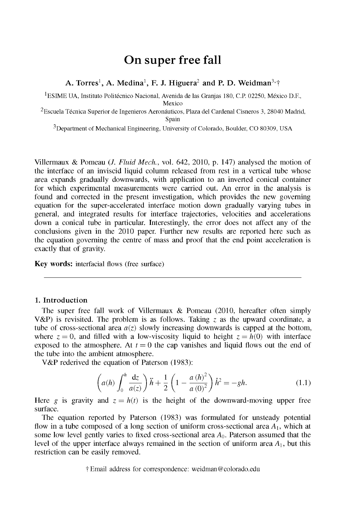# On super free fall

# **A. Torres<sup>1</sup> , A. Medina<sup>1</sup> , F. J. Higuera<sup>2</sup> and P. D. Weidman<sup>3</sup>** f

<sup>1</sup>ESIME UA, Instituto Politécnico Nacional, Avenida de las Granias 180, C.P. 02250, México D.F.,

Mexico

<sup>2</sup> Escuela Técnica Superior de Ingenieros Aeronáuticos, Plaza del Cardenal Cisneros 3, 28040 Madrid, Spain

3 Department of Mechanical Engineering, University of Colorado, Boulder, CO 80309, USA

Villermaux & Pomeau (/. *Fluid Meek,* vol. 642, 2010, p. 147) analysed the motion of the interface of an inviscid liquid column released from rest in a vertical tube whose area expands gradually downwards, with application to an inverted conical container for which experimental measurements were carried out. An error in the analysis is found and corrected in the present investigation, which provides the new governing equation for the super-accelerated interface motion down gradually varying tubes in general, and integrated results for interface trajectories, velocities and accelerations down a conical tube in particular. Interestingly, the error does not affect any of the conclusions given in the 2010 paper. Further new results are reported here such as the equation governing the centre of mass and proof that the end point acceleration is exactly that of gravity.

**Key words:** interfacial flows (free surface)

# **1. Introduction**

The super free fall work of Villermaux & Pomeau (2010, hereafter often simply V&P) is revisited. The problem is as follows. Taking *z* as the upward coordinate, a tube of cross-sectional area  $a(z)$  slowly increasing downwards is capped at the bottom, where  $z = 0$ , and filled with a low-viscosity liquid to height  $z = h(0)$  with interface exposed to the atmosphere. At  $t = 0$  the cap vanishes and liquid flows out the end of the tube into the ambient atmosphere.

V&P rederived the equation of Paterson (1983):

$$
\left(a(h)\int_0^h \frac{dz}{a(z)}\right)\ddot{h} + \frac{1}{2}\left(1 - \frac{a\left(h\right)^2}{a\left(0\right)^2}\right)\dot{h}^2 = -gh. \tag{1.1}
$$

Here *g* is gravity and  $z = h(t)$  is the height of the downward-moving upper free surface.

The equation reported by Paterson (1983) was formulated for unsteady potential flow in a tube composed of a long section of uniform cross-sectional area  $A_1$ , which at some low level gently varies to fixed cross-sectional area  $A_0$ . Paterson assumed that the level of the upper interface always remained in the section of uniform area  $A_1$ , but this restriction can be easily removed.

t Email address for correspondence: [weidman@colorado.edu](mailto:weidman@colorado.edu)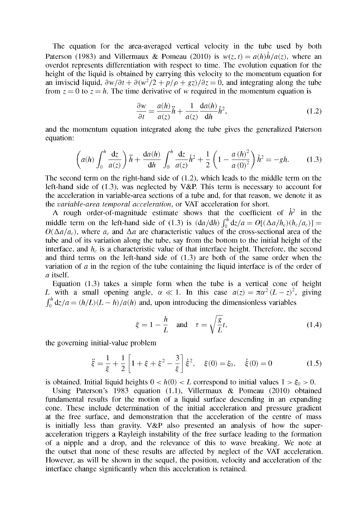The equation for the area-averaged vertical velocity in the tube used by both Paterson (1983) and Villermaux & Pomeau (2010) is  $w(z, t) = a(h)h/a(z)$ , where an overdot represents differentiation with respect to time. The evolution equation for the height of the liquid is obtained by carrying this velocity to the momentum equation for an inviscid liquid,  $\frac{\partial w}{\partial t} + \frac{\partial (w^2)}{2} + \frac{p}{\rho} + \frac{gz}{\partial z} = 0$ , and integrating along the tube from  $z = 0$  to  $z = h$ . The time derivative of *w* required in the momentum equation is

$$
\frac{\partial w}{\partial t} = \frac{a(h)}{a(z)}\ddot{h} + \frac{1}{a(z)}\frac{da(h)}{dh}\dot{h}^2,\tag{1.2}
$$

and the momentum equation integrated along the tube gives the generalized Paterson equation:

$$
\left(a(h)\int_0^h \frac{dz}{a(z)}\right)\ddot{h} + \frac{da(h)}{dh}\int_0^h \frac{dz}{a(z)}\dot{h}^2 + \frac{1}{2}\left(1 - \frac{a(h)^2}{a(0)^2}\right)\dot{h}^2 = -gh.
$$
 (1.3)

The second term on the right-hand side of (1.2), which leads to the middle term on the left-hand side of  $(1.3)$ , was neglected by V&P. This term is necessary to account for the acceleration in variable-area sections of a tube and, for that reason, we denote it as the *variable-area temporal acceleration,* or VAT acceleration for short.

A rough order-of-magnitude estimate shows that the coefficient of  $\dot{h}^2$  in the middle term on the left-hand side of (1.3) is  $\left(\frac{da}{dh}\right) \int_0^h dz/a = O[(\Delta a/h_c)(h_c/a_c)] =$  $O(\Delta a/a_c)$ , where  $a_c$  and  $\Delta a$  are characteristic values of the cross-sectional area of the tube and of its variation along the tube, say from the bottom to the initial height of the interface, and  $h<sub>c</sub>$  is a characteristic value of that interface height. Therefore, the second and third terms on the left-hand side of (1.3) are both of the same order when the variation of *a* in the region of the tube containing the liquid interface is of the order of *a* itself.

Equation (1.3) takes a simple form when the tube is a vertical cone of height *L* with a small opening angle,  $\alpha \ll 1$ . In this case  $a(z) = \pi \alpha^2 (L - z)^2$ , giving  $\int_0^h dz/a = (h/L)(L - h)/a(h)$  and, upon introducing the dimensionless variables

$$
\xi = 1 - \frac{h}{L} \quad \text{and} \quad \tau = \sqrt{\frac{g}{L}}t,\tag{1.4}
$$

the governing initial-value problem

$$
\ddot{\xi} = \frac{1}{\xi} + \frac{1}{2} \left[ 1 + \xi + \xi^2 - \frac{3}{\xi} \right] \dot{\xi}^2, \quad \xi(0) = \xi_0, \quad \dot{\xi}(0) = 0 \tag{1.5}
$$

is obtained. Initial liquid heights  $0 < h(0) < L$  correspond to initial values  $1 > \xi_0 > 0$ .

Using Paterson's 1983 equation (1.1), Villermaux & Pomeau (2010) obtained fundamental results for the motion of a liquid surface descending in an expanding cone. These include determination of the initial acceleration and pressure gradient at the free surface, and demonstration that the acceleration of the centre of mass is initially less than gravity. V&P also presented an analysis of how the superacceleration triggers a Rayleigh instability of the free surface leading to the formation of a nipple and a drop, and the relevance of this to wave breaking. We note at the outset that none of these results are affected by neglect of the VAT acceleration. However, as will be shown in the sequel, the position, velocity and acceleration of the interface change significantly when this acceleration is retained.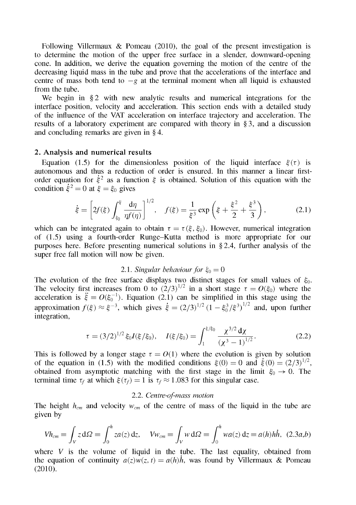Following Villermaux  $\&$  Pomeau (2010), the goal of the present investigation is to determine the motion of the upper free surface in a slender, downward-opening cone. In addition, we derive the equation governing the motion of the centre of the decreasing liquid mass in the tube and prove that the accelerations of the interface and centre of mass both tend to  $-g$  at the terminal moment when all liquid is exhausted from the tube.

We begin in §2 with new analytic results and numerical integrations for the interface position, velocity and acceleration. This section ends with a detailed study of the influence of the VAT acceleration on interface trajectory and acceleration. The results of a laboratory experiment are compared with theory in §3, and a discussion and concluding remarks are given in § 4.

# **2. Analysis and numerical results**

Equation (1.5) for the dimensionless position of the liquid interface  $\xi(\tau)$  is autonomous and thus a reduction of order is ensured. In this manner a linear firstorder equation for  $\dot{\xi}^2$  as a function  $\xi$  is obtained. Solution of this equation with the condition  $\dot{\xi}^2 = 0$  at  $\xi = \xi_0$  gives

$$
\dot{\xi} = \left[2f(\xi)\int_{\xi_0}^{\xi} \frac{d\eta}{\eta f(\eta)}\right]^{1/2}, \quad f(\xi) = \frac{1}{\xi^3} \exp\left(\xi + \frac{\xi^2}{2} + \frac{\xi^3}{3}\right), \tag{2.1}
$$

which can be integrated again to obtain  $\tau = \tau(\xi, \xi_0)$ . However, numerical integration of (1.5) using a fourth-order Runge-Kutta method is more appropriate for our purposes here. Before presenting numerical solutions in § 2.4, further analysis of the super free fall motion will now be given.

# 2.1. Singular behaviour for  $\xi_0 = 0$

The evolution of the free surface displays two distinct stages for small values of  $\xi_0$ . The velocity first increases from 0 to  $(2/3)^{1/2}$  in a short stage  $\tau = O(\xi_0)$  where the acceleration is  $\ddot{\xi} = O(\xi_0^{-1})$ . Equation (2.1) can be simplified in this stage using the approximation  $f(\xi) \approx \xi^{-3}$ , which gives  $\dot{\xi} = (2/3)^{1/2} (1 - \xi_0^3/\xi^3)^{1/2}$  and, upon further integration,

$$
\tau = (3/2)^{1/2} \xi_0 I(\xi/\xi_0), \quad I(\xi/\xi_0) = \int_1^{\xi/\xi_0} \frac{\chi^{3/2} d\chi}{(\chi^3 - 1)^{1/2}}.
$$
 (2.2)

This is followed by a longer stage  $\tau = O(1)$  where the evolution is given by solution of the equation in (1.5) with the modified conditions  $\xi(0) = 0$  and  $\dot{\xi}(0) = (2/3)^{1/2}$ , obtained from asymptotic matching with the first stage in the limit  $\xi_0 \rightarrow 0$ . The terminal time  $\tau_f$  at which  $\xi(\tau_f) = 1$  is  $\tau_f \approx 1.083$  for this singular case.

### 2.2. *Centre-of-mass motion*

The height *hcm* and velocity *wcm* of the centre of mass of the liquid in the tube are given by

$$
Vh_{cm} = \int_{V} z \, d\Omega = \int_{0}^{h} za(z) \, dz, \quad Vw_{cm} = \int_{V} w \, d\Omega = \int_{0}^{h} wa(z) \, dz = a(h)h\dot{h}, \tag{2.3a,b}
$$

where  $V$  is the volume of liquid in the tube. The last equality, obtained from the equation of continuity  $a(z)w(z, t) = a(h)\dot{h}$ , was found by Villermaux & Pomeau (2010).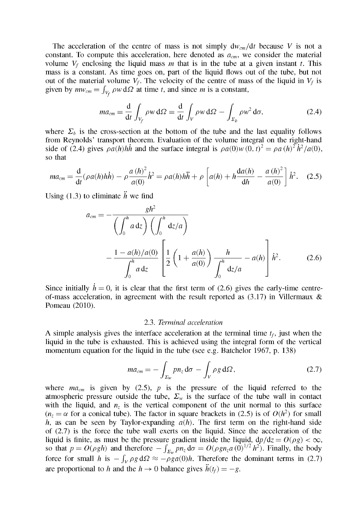The acceleration of the centre of mass is not simply  $dw_{cm}/dt$  because V is not a constant. To compute this acceleration, here denoted as  $a_{cm}$ , we consider the material volume  $V_f$  enclosing the liquid mass *m* that is in the tube at a given instant *t*. This mass is a constant. As time goes on, part of the liquid flows out of the tube, but not out of the material volume  $V_f$ . The velocity of the centre of mass of the liquid in  $V_f$  is given by  $mw_{cm} = \int_{V} \rho w d\Omega$  at time *t*, and since *m* is a constant,

$$
ma_{cm} = \frac{d}{dt} \int_{V_f} \rho w \, d\Omega = \frac{d}{dt} \int_V \rho w \, d\Omega - \int_{\Sigma_b} \rho w^2 \, d\sigma, \tag{2.4}
$$

where  $\Sigma_b$  is the cross-section at the bottom of the tube and the last equality follows from Reynolds' transport theorem. Evaluation of the volume integral on the right-hand side of (2.4) gives  $\rho a(h)hh$  and the surface integral is  $\rho a(0)w(0, t)^2 = \rho a(h)^2 h^2/a(0)$ so that

$$
ma_{cm} = \frac{d}{dt}(\rho a(h)h\dot{h}) - \rho \frac{a(h)^2}{a(0)}\dot{h}^2 = \rho a(h)h\ddot{h} + \rho \left[a(h) + h\frac{da(h)}{dh} - \frac{a(h)^2}{a(0)}\right]\dot{h}^2.
$$
 (2.5)

Using (1.3) to eliminate  $\ddot{h}$  we find

$$
a_{cm} = -\frac{gh^2}{\left(\int_0^h a \, \mathrm{d}z\right) \left(\int_0^h \mathrm{d}z/a\right)} -\frac{1 - a(h)/a(0)}{\int_0^h a \, \mathrm{d}z} \left[\frac{1}{2}\left(1 + \frac{a(h)}{a(0)}\right) \frac{h}{\int_0^h \mathrm{d}z/a} - a(h)\right] h^2. \tag{2.6}
$$

Since initially  $h = 0$ , it is clear that the first term of (2.6) gives the early-time centreof-mass acceleration, in agreement with the result reported as  $(3.17)$  in Villermaux & Pomeau (2010).

#### 2.3. *Terminal acceleration*

A simple analysis gives the interface acceleration at the terminal time  $t_f$ , just when the liquid in the tube is exhausted. This is achieved using the integral form of the vertical momentum equation for the liquid in the tube (see e.g. Batchelor 1967, p. 138)

$$
ma_{cm} = -\int_{\Sigma_W} pn_z \, \mathrm{d}\sigma - \int_V \rho g \, \mathrm{d}\Omega, \tag{2.7}
$$

where  $ma<sub>cm</sub>$  is given by (2.5), p is the pressure of the liquid referred to the atmospheric pressure outside the tube,  $\Sigma_w$  is the surface of the tube wall in contact with the liquid, and  $n_z$  is the vertical component of the unit normal to this surface  $(n_z = \alpha \text{ for a conical tube})$ . The factor in square brackets in (2.5) is of  $O(h^2)$  for small *h*, as can be seen by Taylor-expanding  $a(h)$ . The first term on the right-hand side of (2.7) is the force the tube wall exerts on the liquid. Since the acceleration of the liquid is finite, as must be the pressure gradient inside the liquid,  $dp/dz = O(\rho g) < \infty$ , so that  $p = O(\rho gh)$  and therefore  $-\int_{\Sigma} p n_z d\sigma = O(\rho g n_z a(0)^{1/2} h^2)$ . Finally, the body force for small h is  $-\int_V \rho g d\Omega \approx -\rho g a(0)h$ . Therefore the dominant terms in (2.7) are proportional to h and the  $h \to 0$  balance gives  $\ddot{h}(t_f) = -g$ .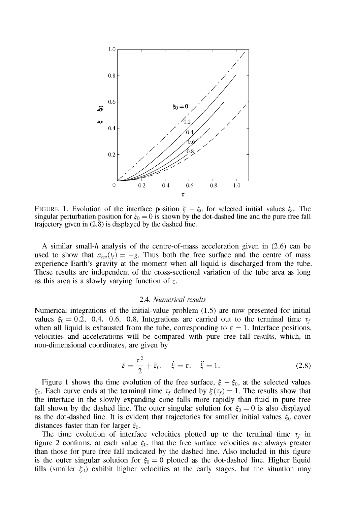

FIGURE 1. Evolution of the interface position  $\xi - \xi_0$  for selected initial values  $\xi_0$ . The singular perturbation position for  $\xi_0 = 0$  is shown by the dot-dashed line and the pure free fall trajectory given in  $(2.\bar{8})$  is displayed by the dashed line.

A similar small- $h$  analysis of the centre-of-mass acceleration given in (2.6) can be used to show that  $a_{cm}(t_f) = -g$ . Thus both the free surface and the centre of mass experience Earth's gravity at the moment when all liquid is discharged from the tube. These results are independent of the cross-sectional variation of the tube area as long as this area is a slowly varying function of *z.* 

#### 2.4. *Numerical results*

Numerical integrations of the initial-value problem (1.5) are now presented for initial values  $\xi_0 = 0.2$ , 0.4, 0.6, 0.8. Integrations are carried out to the terminal time  $\tau_f$ when all liquid is exhausted from the tube, corresponding to  $\xi = 1$ . Interface positions, velocities and accelerations will be compared with pure free fall results, which, in non-dimensional coordinates, are given by

$$
\xi = \frac{\tau^2}{2} + \xi_0, \quad \dot{\xi} = \tau, \quad \ddot{\xi} = 1.
$$
\n(2.8)

Figure 1 shows the time evolution of the free surface,  $\xi - \xi_0$ , at the selected values  $\xi_0$ . Each curve ends at the terminal time  $\tau_f$  defined by  $\xi(\tau_f) = 1$ . The results show that the interface in the slowly expanding cone falls more rapidly than fluid in pure free fall shown by the dashed line. The outer singular solution for  $\xi_0 = 0$  is also displayed as the dot-dashed line. It is evident that trajectories for smaller initial values  $\xi_0$  cover distances faster than for larger  $\xi_0$ .

The time evolution of interface velocities plotted up to the terminal time  $\tau_f$  in figure 2 confirms, at each value  $\xi_0$ , that the free surface velocities are always greater than those for pure free fall indicated by the dashed line. Also included in this figure is the outer singular solution for  $\xi_0 = 0$  plotted as the dot-dashed line. Higher liquid fills (smaller  $\xi_0$ ) exhibit higher velocities at the early stages, but the situation may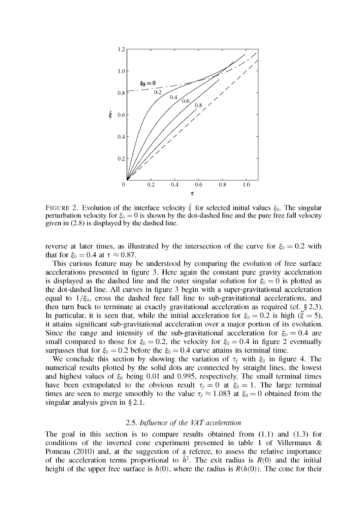

FIGURE 2. Evolution of the interface velocity  $\dot{\xi}$  for selected initial values  $\xi_0$ . The singular perturbation velocity for  $\xi_0 = 0$  is shown by the dot-dashed line and the pure free fall velocity given in (2.8) is displayed by the dashed line.

reverse at later times, as illustrated by the intersection of the curve for  $\xi_0 = 0.2$  with that for  $\xi_0 = 0.4$  at  $\tau \approx 0.87$ .

This curious feature may be understood by comparing the evolution of free surface accelerations presented in figure 3. Here again the constant pure gravity acceleration is displayed as the dashed line and the outer singular solution for  $\xi_0 = 0$  is plotted as the dot-dashed line. All curves in figure 3 begin with a super-gravitational acceleration equal to  $1/\xi_0$ , cross the dashed free fall line to sub-gravitational accelerations, and then turn back to terminate at exactly gravitational acceleration as required (cf. § 2.3). In particular, it is seen that, while the initial acceleration for  $\xi_0 = 0.2$  is high ( $\xi = 5$ ), it attains significant sub-gravitational acceleration over a major portion of its evolution. Since the range and intensity of the sub-gravitational acceleration for  $\xi_0 = 0.4$  are small compared to those for  $\xi_0 = 0.2$ , the velocity for  $\xi_0 = 0.4$  in figure 2 eventually surpasses that for  $\xi_0 = 0.2$  before the  $\xi_0 = 0.4$  curve attains its terminal time.

We conclude this section by showing the variation of  $\tau_f$  with  $\xi_0$  in figure 4. The numerical results plotted by the solid dots are connected by straight lines, the lowest and highest values of  $\xi_0$  being 0.01 and 0.995, respectively. The small terminal times have been extrapolated to the obvious result  $\tau_f = 0$  at  $\xi_0 = 1$ . The large terminal times are seen to merge smoothly to the value  $\tau_f \approx 1.083$  at  $\xi_0 = 0$  obtained from the singular analysis given in §2.1.

#### 2.5. *Influence of the VAT acceleration*

The goal in this section is to compare results obtained from  $(1.1)$  and  $(1.3)$  for conditions of the inverted cone experiment presented in table 1 of Villermaux & Pomeau (2010) and, at the suggestion of a referee, to assess the relative importance of the acceleration terms proportional to  $\dot{h}^2$ . The exit radius is  $R(0)$  and the initial height of the upper free surface is  $h(0)$ , where the radius is  $R(h(0))$ . The cone for their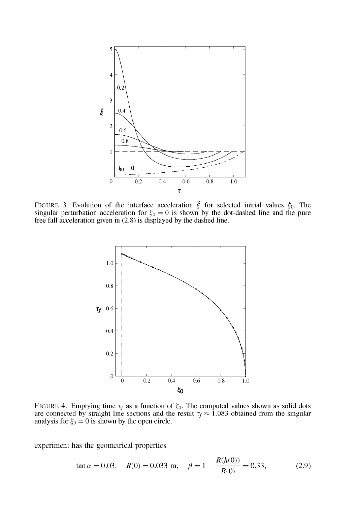

FIGURE 3. Evolution of the interface acceleration  $\xi$  for selected initial values  $\xi_0$ . The singular perturbation acceleration for  $\xi_0 = 0$  is shown by the dot-dashed line and the pure free fall acceleration given in (2.8) is displayed by the dashed line.



FIGURE 4. Emptying time  $\tau_f$  as a function of  $\xi_0$ . The computed values shown as solid dots are connected by straight line sections and the result  $\tau_f \approx 1.083$  obtained from the singular analysis for  $\xi_0 = 0$  is shown by the open circle.

experiment has the geometrical properties

$$
\tan \alpha = 0.03
$$
,  $R(0) = 0.033$  m,  $\beta = 1 - \frac{R(h(0))}{R(0)} = 0.33$ , (2.9)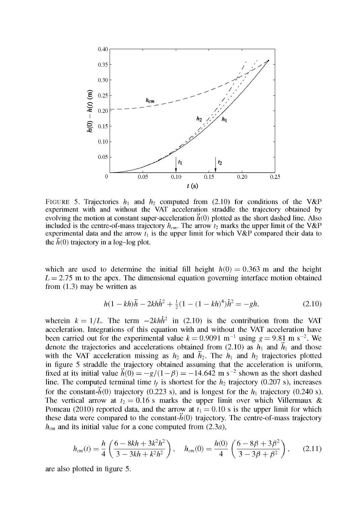

FIGURE 5. Trajectories  $h_1$  and  $h_2$  computed from (2.10) for conditions of the V&P experiment with and without the VAT acceleration straddle the trajectory obtained by evolving the motion at constant super-acceleration  $\ddot{h}(0)$  plotted as the short dashed line. Also included is the centre-of-mass trajectory  $h_{cm}$ . The arrow  $t_2$  marks the upper limit of the V&P experimental data and the arrow  $t_1$  is the upper limit for which V&P compared their data to the  $\ddot{h}(0)$  trajectory in a log-log plot.

which are used to determine the initial fill height  $h(0) = 0.363$  m and the height  $L = 2.75$  m to the apex. The dimensional equation governing interface motion obtained from (1.3) may be written as

$$
h(1 - kh)\ddot{h} - 2kh\dot{h}^2 + \frac{1}{2}(1 - (1 - kh)^4)\dot{h}^2 = -gh,
$$
\n(2.10)

wherein  $k = 1/L$ . The term  $-2kh\hbar^2$  in (2.10) is the contribution from the VAT acceleration. Integrations of this equation with and without the VAT acceleration have been carried out for the experimental value  $k = 0.9091 \text{ m}^{-1}$  using  $g = 9.81 \text{ m s}^{-2}$ . We denote the trajectories and accelerations obtained from (2.10) as  $h_1$  and  $h_1$  and those with the VAT acceleration missing as  $h_2$  and  $\ddot{h}_2$ . The  $h_1$  and  $h_2$  trajectories plotted in figure 5 straddle the trajectory obtained assuming that the acceleration is uniform, fixed at its initial value  $h(0) = -g/(1-\beta) = -14.642 \text{ m s}^{-2}$  shown as the short dashed line. The computed terminal time  $t_f$  is shortest for the  $h_2$  trajectory (0.207 s), increases for the constant- $\ddot{h}(0)$  trajectory (0.223 s), and is longest for the  $h_1$  trajectory (0.240 s). The vertical arrow at  $t_2 = 0.16$  s marks the upper limit over which Villermaux & Pomeau (2010) reported data, and the arrow at  $t_1 = 0.10$  s is the upper limit for which these data were compared to the constant- $\ddot{h}(0)$  trajectory. The centre-of-mass trajectory  $h_{cm}$  and its initial value for a cone computed from  $(2.3a)$ ,

$$
h_{cm}(t) = \frac{h}{4} \left( \frac{6 - 8kh + 3k^2h^2}{3 - 3kh + k^2h^2} \right), \quad h_{cm}(0) = \frac{h(0)}{4} \left( \frac{6 - 8\beta + 3\beta^2}{3 - 3\beta + \beta^2} \right), \quad (2.11)
$$

are also plotted in figure 5.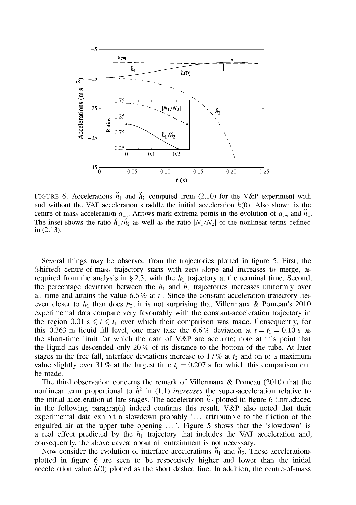

FIGURE 6. Accelerations  $\ddot{h}_1$  and  $\ddot{h}_2$  computed from (2.10) for the V&P experiment with and without the VAT acceleration straddle the initial acceleration  $\ddot{h}(0)$ . Also shown is the centre-of-mass acceleration  $a_{cm}$ . Arrows mark extrema points in the evolution of  $a_{cm}$  and  $h_1$ . The inset shows the ratio  $\ddot{h}_1/\ddot{h}_2$  as well as the ratio  $\ddot{N}_1/N_2$  of the nonlinear terms defined in (2.13).

Several things may be observed from the trajectories plotted in figure 5. First, the (shifted) centre-of-mass trajectory starts with zero slope and increases to merge, as required from the analysis in §2.3, with the  $h_1$  trajectory at the terminal time. Second, the percentage deviation between the  $h_1$  and  $h_2$  trajectories increases uniformly over all time and attains the value  $6.6\%$  at  $t_1$ . Since the constant-acceleration trajectory lies even closer to  $h_1$  than does  $h_2$ , it is not surprising that Villermaux & Pomeau's 2010 experimental data compare very favourably with the constant-acceleration trajectory in the region 0.01 s  $\leq t \leq t_1$  over which their comparison was made. Consequently, for this 0.363 m liquid fill level, one may take the 6.6% deviation at  $t = t_1 = 0.10$  s as the short-time limit for which the data of V&P are accurate; note at this point that the liquid has descended only 20  $%$  of its distance to the bottom of the tube. At later stages in the free fall, interface deviations increase to  $17\%$  at  $t_2$  and on to a maximum value slightly over 31 % at the largest time  $t_f = 0.207$  s for which this comparison can be made.

The third observation concerns the remark of Villermaux & Pomeau (2010) that the nonlinear term proportional to  $\dot{h}^2$  in (1.1) *increases* the super-acceleration relative to the initial acceleration at late stages. The acceleration  $h_2$  plotted in figure 6 (introduced in the following paragraph) indeed confirms this result. V&P also noted that their experimental data exhibit a slowdown probably '... attributable to the friction of the engulfed air at the upper tube opening ...' . Figure 5 shows that the 'slowdown' is a real effect predicted by the *hi* trajectory that includes the VAT acceleration and, consequently, the above caveat about air entrainment is not necessary.

Now consider the evolution of interface accelerations  $\ddot{h}_1$  and  $\ddot{h}_2$ . These accelerations plotted in figure 6 are seen to be respectively higher and lower than the initial acceleration value  $\hat{h}(0)$  plotted as the short dashed line. In addition, the centre-of-mass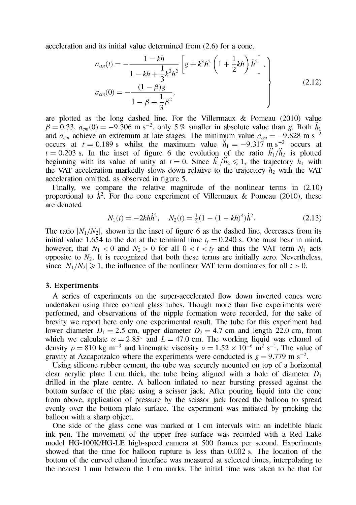acceleration and its initial value determined from (2.6) for a cone,

$$
a_{cm}(t) = -\frac{1 - kh}{1 - kh + \frac{1}{3}k^2h^2} \left[ g + k^3h^2 \left( 1 + \frac{1}{2}kh \right) \dot{h}^2 \right],
$$
  
\n
$$
a_{cm}(0) = -\frac{(1 - \beta)g}{1 - \beta + \frac{1}{3}\beta^2},
$$
\n(2.12)

are plotted as the long dashed line. For the Villermaux  $\&$  Pomeau (2010) value  $\beta = 0.33$ ,  $a_{cm}(0) = -9.306$  m s<sup>-2</sup>, only 5% smaller in absolute value than g. Both  $h_1$ and  $a_{cm}$  achieve an extremum at late stages. The minimum value  $a_{cm} = -9.828$  m s<sup>-2</sup> occurs at  $t = 0.189$  s whilst the maximum value  $h_1 = -9.317$  m s<sup>-2</sup> occurs at  $t = 0.203$  s. In the inset of figure 6 the evolution of the ratio  $\ddot{h_1}/\ddot{h_2}$  is plotted beginning with its value of unity at  $t = 0$ . Since  $\ddot{h}_1/\ddot{h}_2 \leq 1$ , the trajectory  $h_1$  with the VAT acceleration markedly slows down relative to the trajectory *h2* with the VAT acceleration omitted, as observed in figure 5.

Finally, we compare the relative magnitude of the nonlinear terms in (2.10) proportional to  $\dot{h}^2$ . For the cone experiment of Villermaux & Pomeau (2010), these are denoted

$$
N_1(t) = -2k h \dot{h}^2, \quad N_2(t) = \frac{1}{2} (1 - (1 - kh)^4) \dot{h}^2.
$$
 (2.13)

The ratio  $\vert N_1/N_2 \vert$ , shown in the inset of figure 6 as the dashed line, decreases from its initial value 1.654 to the dot at the terminal time  $t_f = 0.240$  s. One must bear in mind, however, that  $N_1 < 0$  and  $N_2 > 0$  for all  $0 < t < t_f$  and thus the VAT term  $N_1$  acts opposite to  $N_2$ . It is recognized that both these terms are initially zero. Nevertheless, since  $|N_1/N_2| \ge 1$ , the influence of the nonlinear VAT term dominates for all  $t > 0$ .

#### 3. Experiments

A series of experiments on the super-accelerated flow down inverted cones were undertaken using three conical glass tubes. Though more than five experiments were performed, and observations of the nipple formation were recorded, for the sake of brevity we report here only one experimental result. The tube for this experiment had lower diameter  $D_1 = 2.5$  cm, upper diameter  $D_2 = 4.7$  cm and length 22.0 cm, from which we calculate  $\alpha = 2.85^{\circ}$  and  $L = 47.0$  cm. The working liquid was ethanol of density  $\rho = 810$  kg m<sup>-3</sup> and kinematic viscosity  $v = 1.52 \times 10^{-6}$  m<sup>2</sup> s<sup>-1</sup>. The value of gravity at Azcapotzalco where the experiments were conducted is  $g = 9.779$  m s<sup>-2</sup>.

Using silicone rubber cement, the tube was securely mounted on top of a horizontal clear acrylic plate 1 cm thick, the tube being aligned with a hole of diameter  $D_1$ drilled in the plate centre. A balloon inflated to near bursting pressed against the bottom surface of the plate using a scissor jack. After pouring liquid into the cone from above, application of pressure by the scissor jack forced the balloon to spread evenly over the bottom plate surface. The experiment was initiated by pricking the balloon with a sharp object.

One side of the glass cone was marked at 1 cm intervals with an indelible black ink pen. The movement of the upper free surface was recorded with a Red Lake model HG-100K7HG-LE high-speed camera at 500 frames per second. Experiments showed that the time for balloon rupture is less than 0.002 s. The location of the bottom of the curved ethanol interface was measured at selected times, interpolating to the nearest 1 mm between the 1 cm marks. The initial time was taken to be that for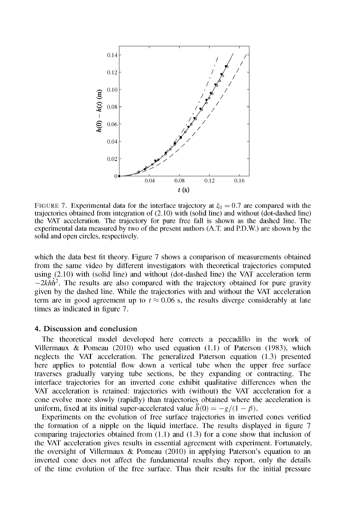

FIGURE 7. Experimental data for the interface trajectory at  $\xi_0 = 0.7$  are compared with the trajectories obtained from integration of (2.10) with (solid line) and without (dot-dashed line) the VAT acceleration. The trajectory for pure free fall is shown as the dashed line. The experimental data measured by two of the present authors (A.T and P.D.W.) are shown by the solid and open circles, respectively.

which the data best fit theory. Figure 7 shows a comparison of measurements obtained from the same video by different investigators with theoretical trajectories computed using (2.10) with (solid line) and without (dot-dashed line) the VAT acceleration term  $-2k h h^2$ . The results are also compared with the trajectory obtained for pure gravity given by the dashed line. While the trajectories with and without the VAT acceleration term are in good agreement up to  $t \approx 0.06$  s, the results diverge considerably at late times as indicated in figure 7.

#### **4. Discussion and conclusion**

The theoretical model developed here corrects a peccadillo in the work of Villermaux & Pomeau (2010) who used equation  $(1.1)$  of Paterson (1983), which neglects the VAT acceleration. The generalized Paterson equation (1.3) presented here applies to potential flow down a vertical tube when the upper free surface traverses gradually varying tube sections, be they expanding or contracting. The interface trajectories for an inverted cone exhibit qualitative differences when the VAT acceleration is retained: trajectories with (without) the VAT acceleration for a cone evolve more slowly (rapidly) than trajectories obtained where the acceleration is uniform, fixed at its initial super-accelerated value  $\tilde{h}(0) = -g/(1 - \beta)$ .

Experiments on the evolution of free surface trajectories in inverted cones verified the formation of a nipple on the liquid interface. The results displayed in figure 7 comparing trajectories obtained from  $(1.1)$  and  $(1.3)$  for a cone show that inclusion of the VAT acceleration gives results in essential agreement with experiment. Fortunately, the oversight of Villermaux & Pomeau (2010) in applying Paterson's equation to an inverted cone does not affect the fundamental results they report, only the details of the time evolution of the free surface. Thus their results for the initial pressure